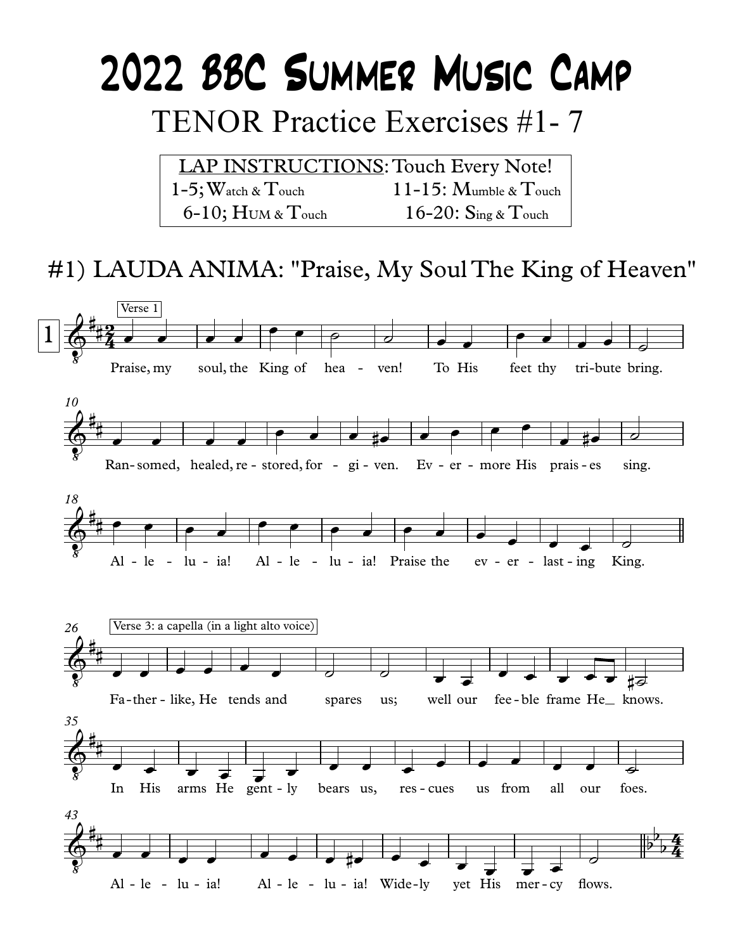# 2022 BBC SUMMER MUSIC CAMP **TENOR Practice Exercises #1-7**

**LAP INSTRUCTIONS: Touch Every Note!**  $1-5$ ; Watch &  $T$ ouch  $11-15$ : Mumble & Touch  $6-10$ ; HUM & Touch 16-20:  $\text{Sine} \& \text{Touch}$ 

### #1) LAUDA ANIMA: "Praise, My Soul The King of Heaven"

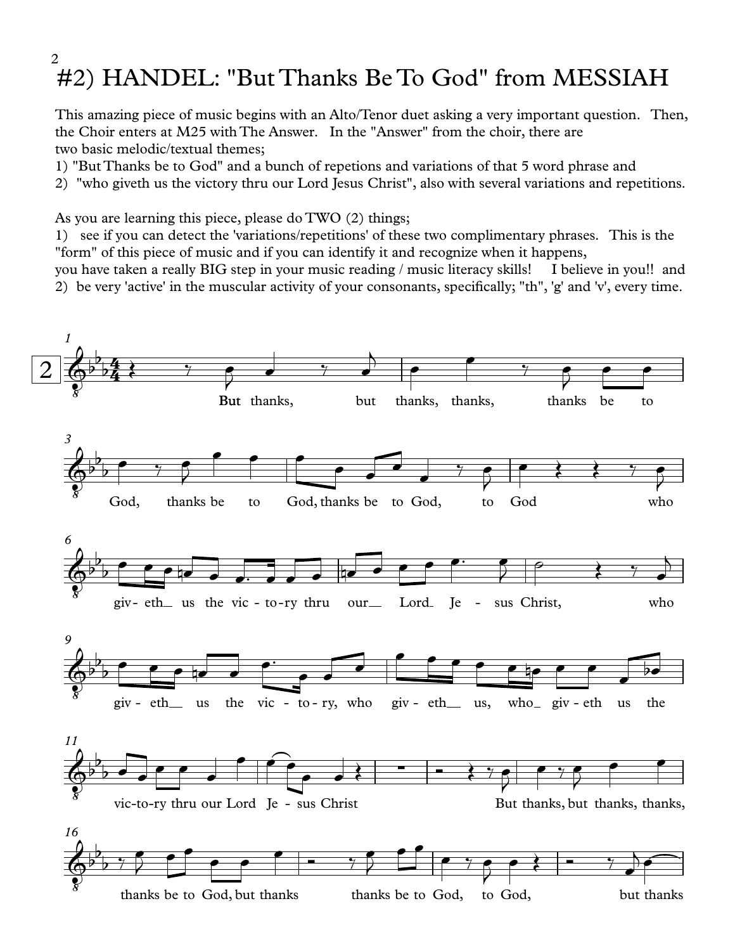#### #2) HANDEL: "But Thanks Be To God" from MESSIAH 2

This amazing piece of music begins with an Alto/Tenor duet asking a very important question. Then, the Choir enters at M25 with The Answer. In the "Answer" from the choir, there are two basic melodic/textual themes;

- 1) "But Thanks be to God" and a bunch of repetions and variations of that 5 word phrase and
- 2) "who giveth us the victory thru our Lord Jesus Christ", also with several variations and repetitions.

As you are learning this piece, please do TWO (2) things;

1) see ifyou can detect the 'variations/repetitions' of these two complimentary phrases. This is the "form" of this piece of music and if you can identify it and recognize when it happens,

you have taken a really BIG step in your music reading / music literacy skills! I believe in you!! and 2) be very 'active' in the muscular activity of your consonants, specifically; "th", 'g' and 'v', every time.

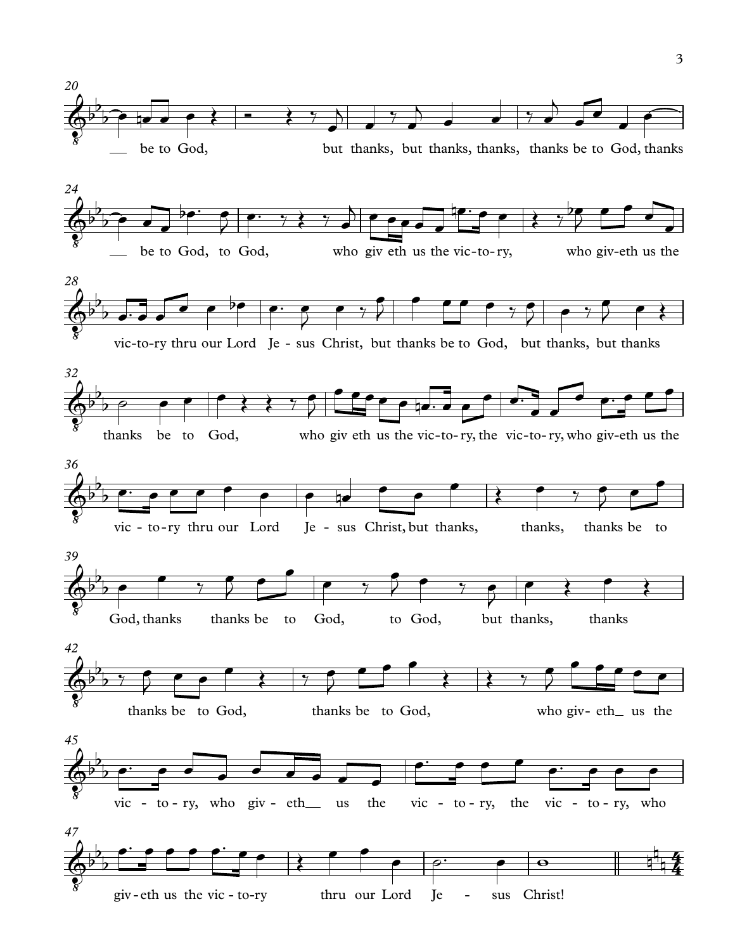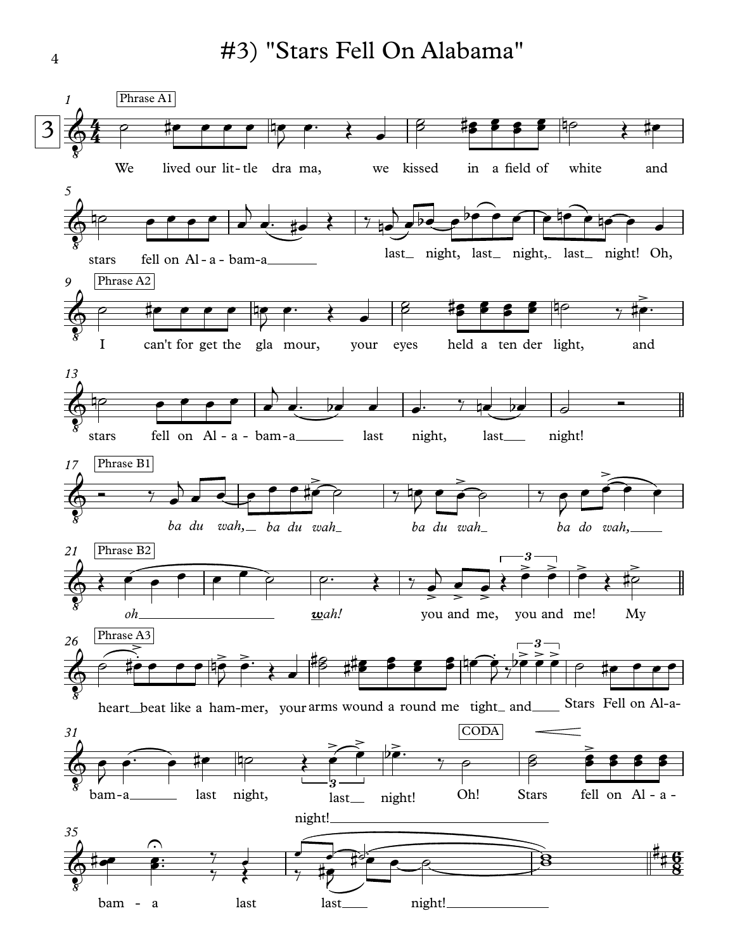#3) "Stars Fell On Alabama"

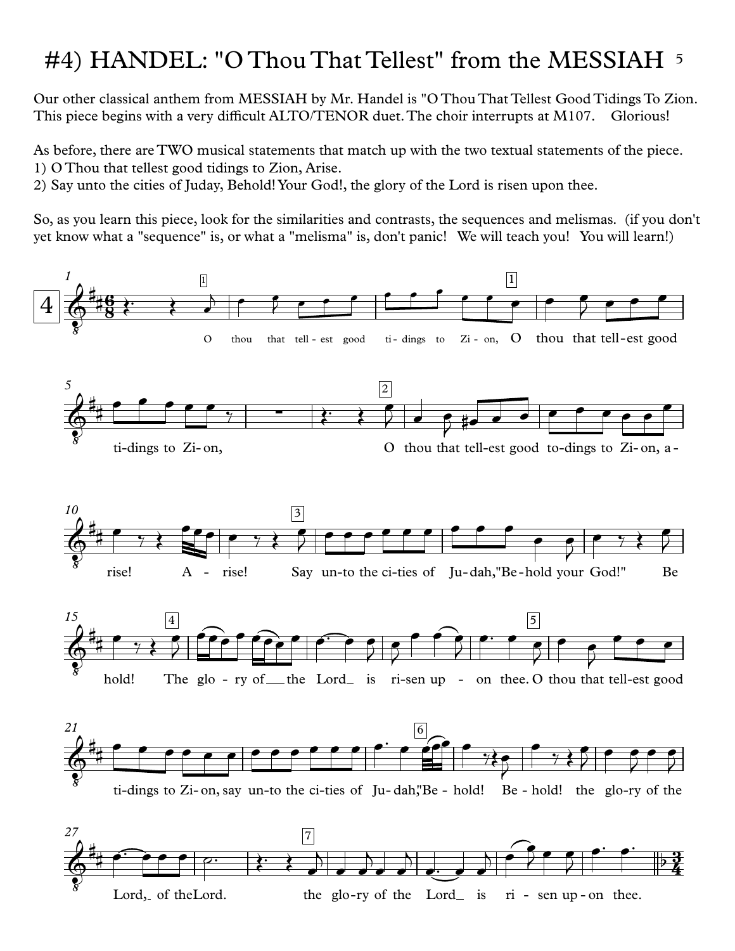## #4) HANDEL: "O Thou That Tellest" from the MESSIAH 5

Our other classical anthem from MESSIAH by Mr. Handel is "O Thou That Tellest Good Tidings To Zion. This piece begins with a very difficult ALTO/TENOR duet.The choir interrupts at M107. Glorious!

As before, there are TWO musical statements that match up with the two textual statements of the piece. 1) O Thou that tellest good tidings to Zion, Arise.

2) Say unto the cities of Juday, Behold!Your God!, the glory of the Lord isrisen upon thee.

So, as you learn this piece, look for the similarities and contrasts, the sequences and melismas. (if you don't yet know what a "sequence" is, or what a "melisma" is, don't panic! We will teach you! You will learn!)

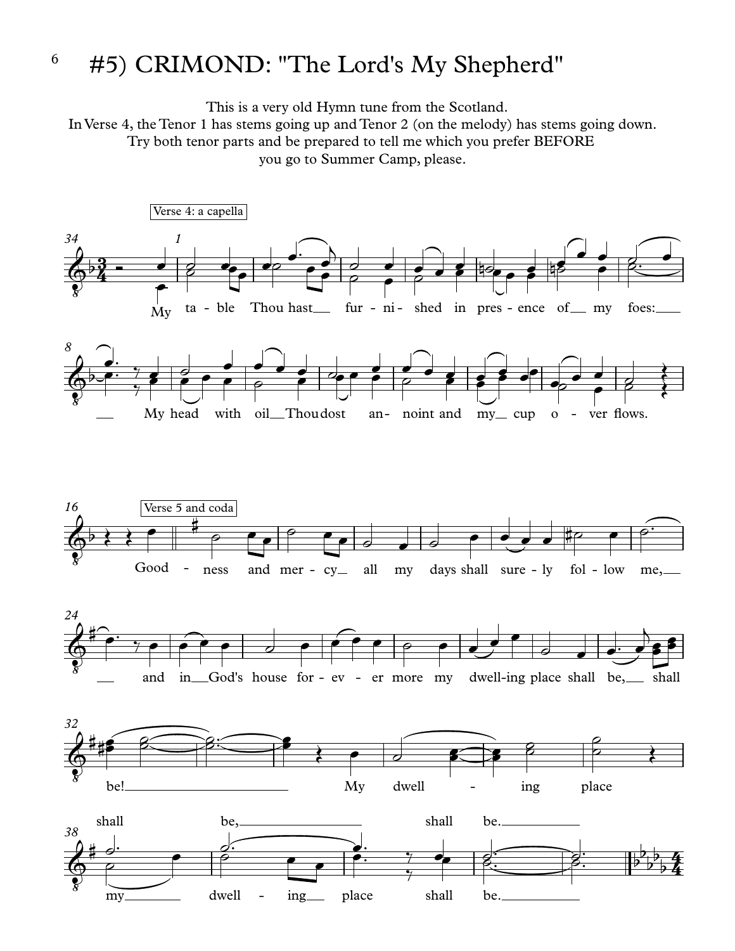#### #5) CRIMOND: "The Lord's My Shepherd" 6

This is a very old Hymn tune from the Scotland.

In Verse 4, the Tenor 1 has stems going up and Tenor 2 (on the melody) has stems going down. Try both tenor parts and be prepared to tell me which you prefer BEFORE you go to Summer Camp, please.

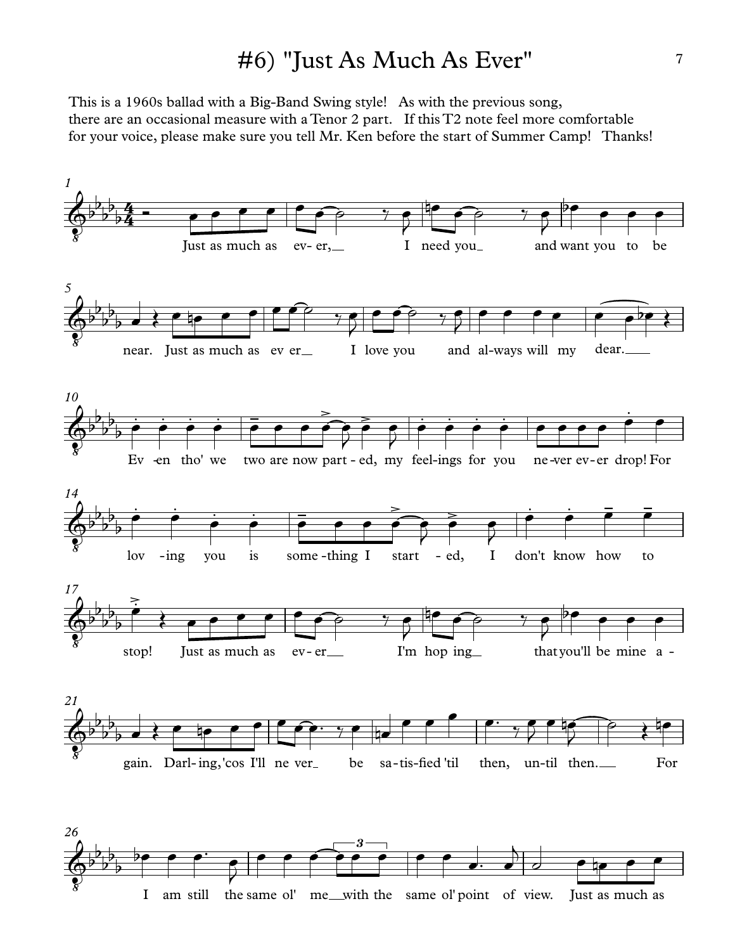#### #6) "Just As Much As Ever"

This is a 1960s ballad with a Big-Band Swing style! As with the previous song, there are an occasional measure with a Tenor 2 part. If this T2 note feel more comfortable for your voice, please make sure you tell Mr. Ken before the start of Summer Camp! Thanks!



I am still the same ol' me with the same ol' point of view. Just as much as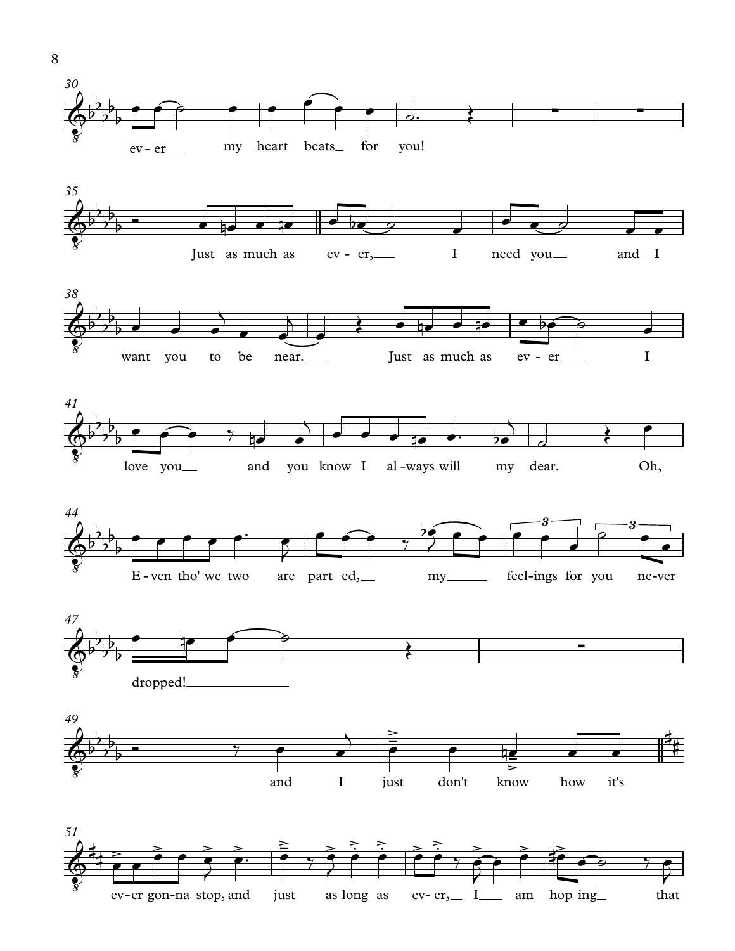

 $e^y$  **ever gon-na** stop, and just as long as  $e^y$ -er, I am hop ing that

8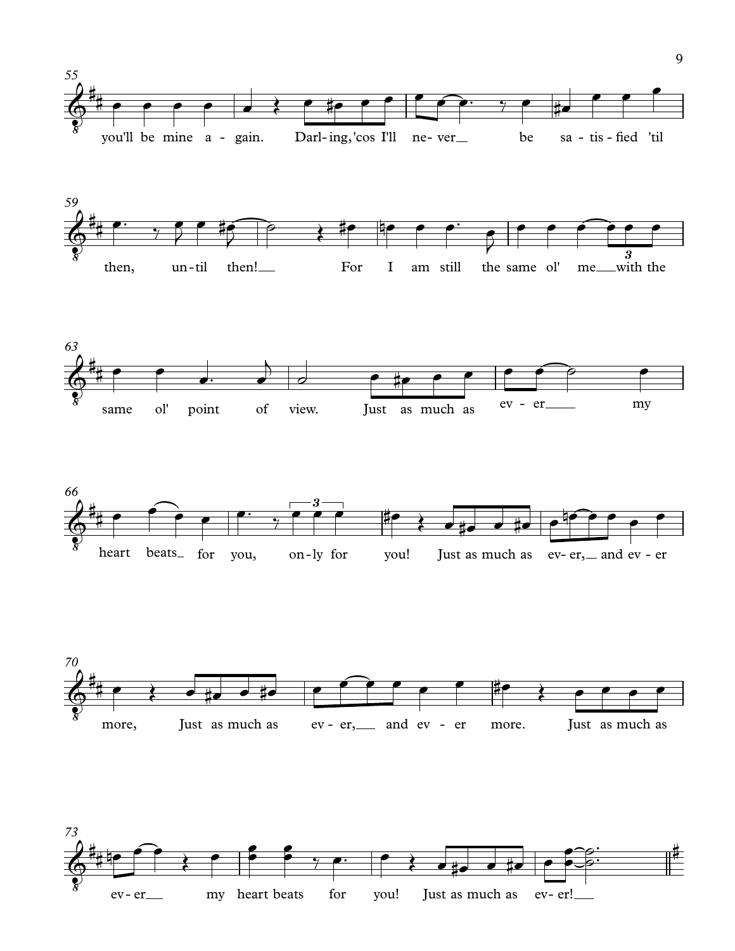